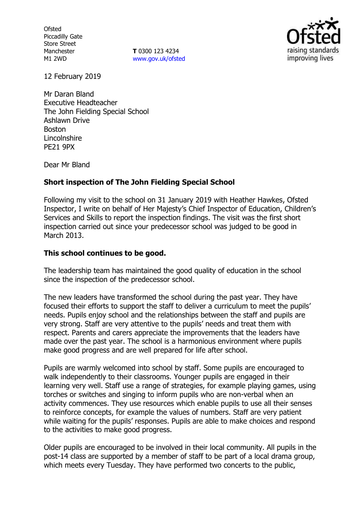**Ofsted** Piccadilly Gate Store Street Manchester M1 2WD

**T** 0300 123 4234 www.gov.uk/ofsted



12 February 2019

Mr Daran Bland Executive Headteacher The John Fielding Special School Ashlawn Drive Boston Lincolnshire PE21 9PX

Dear Mr Bland

# **Short inspection of The John Fielding Special School**

Following my visit to the school on 31 January 2019 with Heather Hawkes, Ofsted Inspector, I write on behalf of Her Majesty's Chief Inspector of Education, Children's Services and Skills to report the inspection findings. The visit was the first short inspection carried out since your predecessor school was judged to be good in March 2013.

# **This school continues to be good.**

The leadership team has maintained the good quality of education in the school since the inspection of the predecessor school.

The new leaders have transformed the school during the past year. They have focused their efforts to support the staff to deliver a curriculum to meet the pupils' needs. Pupils enjoy school and the relationships between the staff and pupils are very strong. Staff are very attentive to the pupils' needs and treat them with respect. Parents and carers appreciate the improvements that the leaders have made over the past year. The school is a harmonious environment where pupils make good progress and are well prepared for life after school.

Pupils are warmly welcomed into school by staff. Some pupils are encouraged to walk independently to their classrooms. Younger pupils are engaged in their learning very well. Staff use a range of strategies, for example playing games, using torches or switches and singing to inform pupils who are non-verbal when an activity commences. They use resources which enable pupils to use all their senses to reinforce concepts, for example the values of numbers. Staff are very patient while waiting for the pupils' responses. Pupils are able to make choices and respond to the activities to make good progress.

Older pupils are encouraged to be involved in their local community. All pupils in the post-14 class are supported by a member of staff to be part of a local drama group, which meets every Tuesday. They have performed two concerts to the public,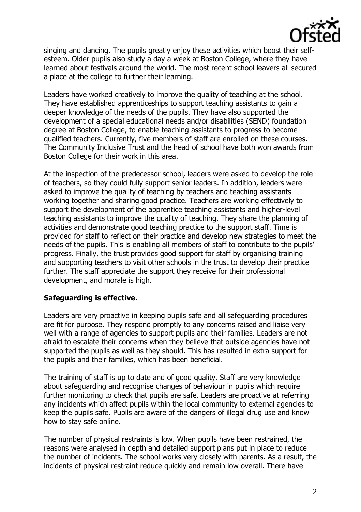

singing and dancing. The pupils greatly enjoy these activities which boost their selfesteem. Older pupils also study a day a week at Boston College, where they have learned about festivals around the world. The most recent school leavers all secured a place at the college to further their learning.

Leaders have worked creatively to improve the quality of teaching at the school. They have established apprenticeships to support teaching assistants to gain a deeper knowledge of the needs of the pupils. They have also supported the development of a special educational needs and/or disabilities (SEND) foundation degree at Boston College, to enable teaching assistants to progress to become qualified teachers. Currently, five members of staff are enrolled on these courses. The Community Inclusive Trust and the head of school have both won awards from Boston College for their work in this area.

At the inspection of the predecessor school, leaders were asked to develop the role of teachers, so they could fully support senior leaders. In addition, leaders were asked to improve the quality of teaching by teachers and teaching assistants working together and sharing good practice. Teachers are working effectively to support the development of the apprentice teaching assistants and higher-level teaching assistants to improve the quality of teaching. They share the planning of activities and demonstrate good teaching practice to the support staff. Time is provided for staff to reflect on their practice and develop new strategies to meet the needs of the pupils. This is enabling all members of staff to contribute to the pupils' progress. Finally, the trust provides good support for staff by organising training and supporting teachers to visit other schools in the trust to develop their practice further. The staff appreciate the support they receive for their professional development, and morale is high.

## **Safeguarding is effective.**

Leaders are very proactive in keeping pupils safe and all safeguarding procedures are fit for purpose. They respond promptly to any concerns raised and liaise very well with a range of agencies to support pupils and their families. Leaders are not afraid to escalate their concerns when they believe that outside agencies have not supported the pupils as well as they should. This has resulted in extra support for the pupils and their families, which has been beneficial.

The training of staff is up to date and of good quality. Staff are very knowledge about safeguarding and recognise changes of behaviour in pupils which require further monitoring to check that pupils are safe. Leaders are proactive at referring any incidents which affect pupils within the local community to external agencies to keep the pupils safe. Pupils are aware of the dangers of illegal drug use and know how to stay safe online.

The number of physical restraints is low. When pupils have been restrained, the reasons were analysed in depth and detailed support plans put in place to reduce the number of incidents. The school works very closely with parents. As a result, the incidents of physical restraint reduce quickly and remain low overall. There have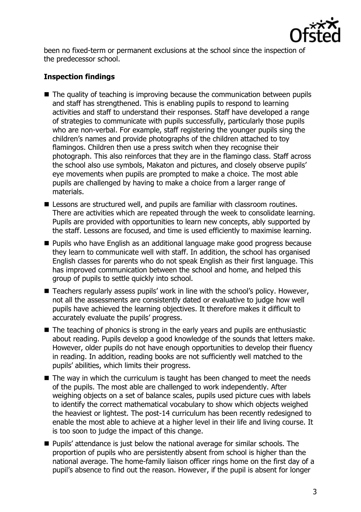

been no fixed-term or permanent exclusions at the school since the inspection of the predecessor school.

# **Inspection findings**

- The quality of teaching is improving because the communication between pupils and staff has strengthened. This is enabling pupils to respond to learning activities and staff to understand their responses. Staff have developed a range of strategies to communicate with pupils successfully, particularly those pupils who are non-verbal. For example, staff registering the younger pupils sing the children's names and provide photographs of the children attached to toy flamingos. Children then use a press switch when they recognise their photograph. This also reinforces that they are in the flamingo class. Staff across the school also use symbols, Makaton and pictures, and closely observe pupils' eye movements when pupils are prompted to make a choice. The most able pupils are challenged by having to make a choice from a larger range of materials.
- **E** Lessons are structured well, and pupils are familiar with classroom routines. There are activities which are repeated through the week to consolidate learning. Pupils are provided with opportunities to learn new concepts, ably supported by the staff. Lessons are focused, and time is used efficiently to maximise learning.
- **Pupils who have English as an additional language make good progress because** they learn to communicate well with staff. In addition, the school has organised English classes for parents who do not speak English as their first language. This has improved communication between the school and home, and helped this group of pupils to settle quickly into school.
- Teachers regularly assess pupils' work in line with the school's policy. However, not all the assessments are consistently dated or evaluative to judge how well pupils have achieved the learning objectives. It therefore makes it difficult to accurately evaluate the pupils' progress.
- The teaching of phonics is strong in the early years and pupils are enthusiastic about reading. Pupils develop a good knowledge of the sounds that letters make. However, older pupils do not have enough opportunities to develop their fluency in reading. In addition, reading books are not sufficiently well matched to the pupils' abilities, which limits their progress.
- The way in which the curriculum is taught has been changed to meet the needs of the pupils. The most able are challenged to work independently. After weighing objects on a set of balance scales, pupils used picture cues with labels to identify the correct mathematical vocabulary to show which objects weighed the heaviest or lightest. The post-14 curriculum has been recently redesigned to enable the most able to achieve at a higher level in their life and living course. It is too soon to judge the impact of this change.
- **Pupils' attendance is just below the national average for similar schools. The** proportion of pupils who are persistently absent from school is higher than the national average. The home-family liaison officer rings home on the first day of a pupil's absence to find out the reason. However, if the pupil is absent for longer